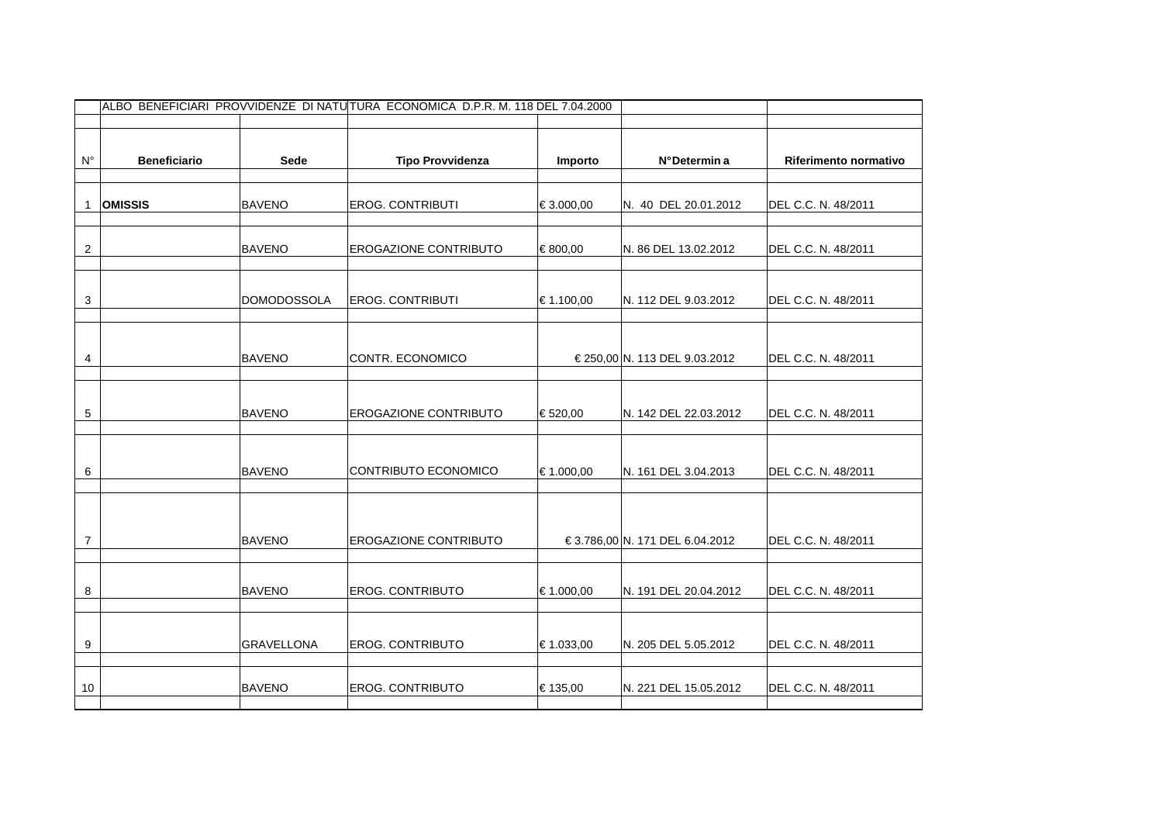|                | ALBO BENEFICIARI PROVVIDENZE DI NATU TURA ECONOMICA D.P.R. M. 118 DEL 7.04.2000 |                    |                              |            |                                 |                       |
|----------------|---------------------------------------------------------------------------------|--------------------|------------------------------|------------|---------------------------------|-----------------------|
|                |                                                                                 |                    |                              |            |                                 |                       |
|                |                                                                                 |                    |                              |            |                                 |                       |
| $N^{\circ}$    | <b>Beneficiario</b>                                                             | Sede               | <b>Tipo Provvidenza</b>      | Importo    | N°Determin a                    | Riferimento normativo |
|                |                                                                                 |                    |                              |            |                                 |                       |
| $\mathbf{1}$   | <b>OMISSIS</b>                                                                  | <b>BAVENO</b>      | <b>EROG. CONTRIBUTI</b>      | € 3.000,00 | N. 40 DEL 20.01.2012            | DEL C.C. N. 48/2011   |
|                |                                                                                 |                    |                              |            |                                 |                       |
|                |                                                                                 |                    |                              |            |                                 |                       |
| $\overline{c}$ |                                                                                 | <b>BAVENO</b>      | <b>EROGAZIONE CONTRIBUTO</b> | € 800,00   | N. 86 DEL 13.02.2012            | DEL C.C. N. 48/2011   |
|                |                                                                                 |                    |                              |            |                                 |                       |
|                |                                                                                 |                    |                              |            |                                 |                       |
| 3              |                                                                                 | <b>DOMODOSSOLA</b> | <b>EROG. CONTRIBUTI</b>      | € 1.100,00 | N. 112 DEL 9.03.2012            | DEL C.C. N. 48/2011   |
|                |                                                                                 |                    |                              |            |                                 |                       |
|                |                                                                                 |                    |                              |            |                                 |                       |
| 4              |                                                                                 | <b>BAVENO</b>      | CONTR. ECONOMICO             |            | € 250,00 N. 113 DEL 9.03.2012   | DEL C.C. N. 48/2011   |
|                |                                                                                 |                    |                              |            |                                 |                       |
|                |                                                                                 |                    |                              |            |                                 |                       |
|                |                                                                                 |                    |                              |            |                                 |                       |
| $\,$ 5 $\,$    |                                                                                 | <b>BAVENO</b>      | <b>EROGAZIONE CONTRIBUTO</b> | € 520,00   | N. 142 DEL 22.03.2012           | DEL C.C. N. 48/2011   |
|                |                                                                                 |                    |                              |            |                                 |                       |
|                |                                                                                 |                    |                              |            |                                 |                       |
| 6              |                                                                                 | <b>BAVENO</b>      | CONTRIBUTO ECONOMICO         | € 1.000,00 | N. 161 DEL 3.04.2013            | DEL C.C. N. 48/2011   |
|                |                                                                                 |                    |                              |            |                                 |                       |
|                |                                                                                 |                    |                              |            |                                 |                       |
|                |                                                                                 |                    |                              |            |                                 |                       |
| $\overline{7}$ |                                                                                 | <b>BAVENO</b>      | <b>EROGAZIONE CONTRIBUTO</b> |            | € 3.786,00 N. 171 DEL 6.04.2012 | DEL C.C. N. 48/2011   |
|                |                                                                                 |                    |                              |            |                                 |                       |
|                |                                                                                 |                    |                              |            |                                 |                       |
| 8              |                                                                                 | <b>BAVENO</b>      | <b>EROG. CONTRIBUTO</b>      | € 1.000,00 | N. 191 DEL 20.04.2012           | DEL C.C. N. 48/2011   |
|                |                                                                                 |                    |                              |            |                                 |                       |
|                |                                                                                 |                    |                              |            |                                 |                       |
| 9              |                                                                                 | <b>GRAVELLONA</b>  | <b>EROG. CONTRIBUTO</b>      | € 1.033,00 | N. 205 DEL 5.05.2012            | DEL C.C. N. 48/2011   |
|                |                                                                                 |                    |                              |            |                                 |                       |
| 10             |                                                                                 | <b>BAVENO</b>      | <b>EROG. CONTRIBUTO</b>      | € 135,00   | N. 221 DEL 15.05.2012           | DEL C.C. N. 48/2011   |
|                |                                                                                 |                    |                              |            |                                 |                       |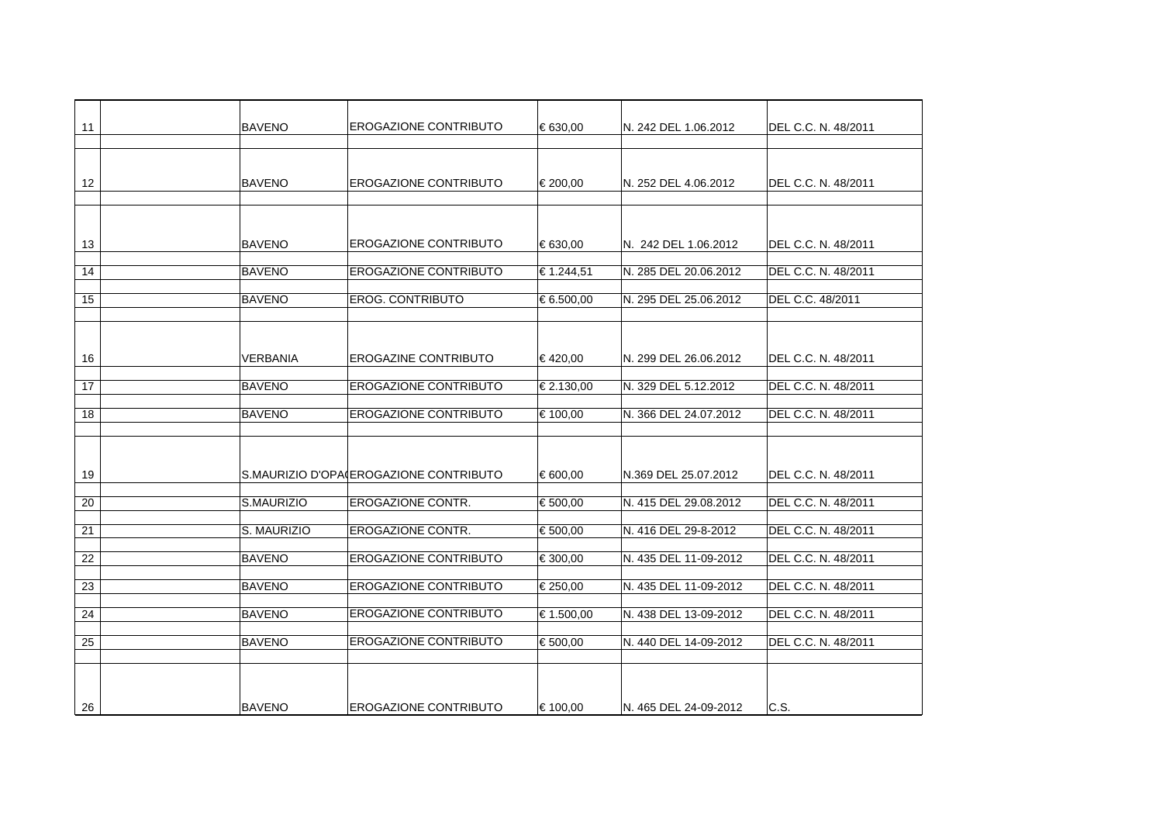| 11 | <b>BAVENO</b> |                                        | <b>EROGAZIONE CONTRIBUTO</b> | € 630,00   | N. 242 DEL 1.06.2012  | DEL C.C. N. 48/2011 |
|----|---------------|----------------------------------------|------------------------------|------------|-----------------------|---------------------|
|    |               |                                        |                              |            |                       |                     |
|    |               |                                        |                              |            |                       |                     |
| 12 | <b>BAVENO</b> |                                        | <b>EROGAZIONE CONTRIBUTO</b> | € 200,00   | N. 252 DEL 4.06.2012  | DEL C.C. N. 48/2011 |
|    |               |                                        |                              |            |                       |                     |
|    |               |                                        |                              |            |                       |                     |
| 13 | <b>BAVENO</b> |                                        | <b>EROGAZIONE CONTRIBUTO</b> | € 630.00   | N. 242 DEL 1.06.2012  | DEL C.C. N. 48/2011 |
|    |               |                                        |                              |            |                       |                     |
| 14 | <b>BAVENO</b> |                                        | <b>EROGAZIONE CONTRIBUTO</b> | € 1.244,51 | N. 285 DEL 20.06.2012 | DEL C.C. N. 48/2011 |
| 15 | <b>BAVENO</b> | <b>EROG. CONTRIBUTO</b>                |                              | € 6.500,00 | N. 295 DEL 25.06.2012 | DEL C.C. 48/2011    |
|    |               |                                        |                              |            |                       |                     |
|    |               |                                        |                              |            |                       |                     |
|    |               |                                        |                              |            |                       |                     |
| 16 | VERBANIA      |                                        | <b>EROGAZINE CONTRIBUTO</b>  | €420,00    | N. 299 DEL 26.06.2012 | DEL C.C. N. 48/2011 |
| 17 | <b>BAVENO</b> |                                        | <b>EROGAZIONE CONTRIBUTO</b> | € 2.130,00 | N. 329 DEL 5.12.2012  | DEL C.C. N. 48/2011 |
|    |               |                                        |                              |            |                       |                     |
| 18 | <b>BAVENO</b> |                                        | <b>EROGAZIONE CONTRIBUTO</b> | € 100,00   | N. 366 DEL 24.07.2012 | DEL C.C. N. 48/2011 |
|    |               |                                        |                              |            |                       |                     |
|    |               |                                        |                              |            |                       |                     |
| 19 |               | S.MAURIZIO D'OPA EROGAZIONE CONTRIBUTO |                              | € 600,00   | N.369 DEL 25.07.2012  | DEL C.C. N. 48/2011 |
|    |               |                                        |                              |            |                       |                     |
| 20 | S.MAURIZIO    | EROGAZIONE CONTR.                      |                              | € 500,00   | N. 415 DEL 29.08.2012 | DEL C.C. N. 48/2011 |
| 21 | S. MAURIZIO   | <b>EROGAZIONE CONTR.</b>               |                              | € 500,00   | N. 416 DEL 29-8-2012  | DEL C.C. N. 48/2011 |
|    |               |                                        |                              |            |                       |                     |
| 22 | <b>BAVENO</b> |                                        | <b>EROGAZIONE CONTRIBUTO</b> | € 300,00   | N. 435 DEL 11-09-2012 | DEL C.C. N. 48/2011 |
| 23 | <b>BAVENO</b> |                                        | <b>EROGAZIONE CONTRIBUTO</b> | € 250,00   | N. 435 DEL 11-09-2012 | DEL C.C. N. 48/2011 |
|    |               |                                        |                              |            |                       |                     |
| 24 | <b>BAVENO</b> |                                        | <b>EROGAZIONE CONTRIBUTO</b> | € 1.500,00 | N. 438 DEL 13-09-2012 | DEL C.C. N. 48/2011 |
| 25 | <b>BAVENO</b> |                                        | <b>EROGAZIONE CONTRIBUTO</b> | € 500,00   | N. 440 DEL 14-09-2012 | DEL C.C. N. 48/2011 |
|    |               |                                        |                              |            |                       |                     |
|    |               |                                        |                              |            |                       |                     |
|    |               |                                        |                              |            |                       |                     |
| 26 | <b>BAVENO</b> |                                        | <b>EROGAZIONE CONTRIBUTO</b> | € 100,00   | N. 465 DEL 24-09-2012 | C.S.                |